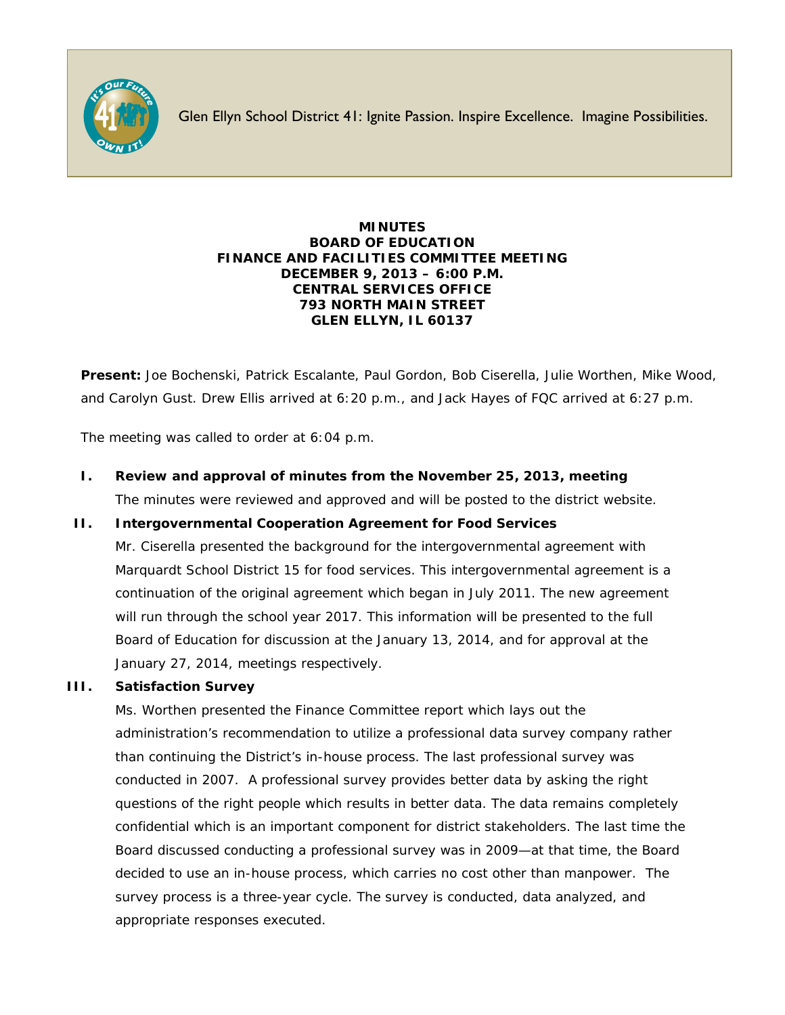

Glen Ellyn School District 41: Ignite Passion. Inspire Excellence. Imagine Possibilities.

#### **MINUTES BOARD OF EDUCATION FINANCE AND FACILITIES COMMITTEE MEETING DECEMBER 9, 2013 – 6:00 P.M. CENTRAL SERVICES OFFICE 793 NORTH MAIN STREET GLEN ELLYN, IL 60137**

**Present:** Joe Bochenski, Patrick Escalante, Paul Gordon, Bob Ciserella, Julie Worthen, Mike Wood, and Carolyn Gust. Drew Ellis arrived at 6:20 p.m., and Jack Hayes of FQC arrived at 6:27 p.m.

The meeting was called to order at 6:04 p.m.

**I. Review and approval of minutes from the November 25, 2013, meeting** The minutes were reviewed and approved and will be posted to the district website.

# **II. Intergovernmental Cooperation Agreement for Food Services**

Mr. Ciserella presented the background for the intergovernmental agreement with Marquardt School District 15 for food services. This intergovernmental agreement is a continuation of the original agreement which began in July 2011. The new agreement will run through the school year 2017. This information will be presented to the full Board of Education for discussion at the January 13, 2014, and for approval at the January 27, 2014, meetings respectively.

# **III. Satisfaction Survey**

Ms. Worthen presented the Finance Committee report which lays out the administration's recommendation to utilize a professional data survey company rather than continuing the District's in-house process. The last professional survey was conducted in 2007. A professional survey provides better data by asking the right questions of the right people which results in better data. The data remains completely confidential which is an important component for district stakeholders. The last time the Board discussed conducting a professional survey was in 2009—at that time, the Board decided to use an in-house process, which carries no cost other than manpower. The survey process is a three-year cycle. The survey is conducted, data analyzed, and appropriate responses executed.